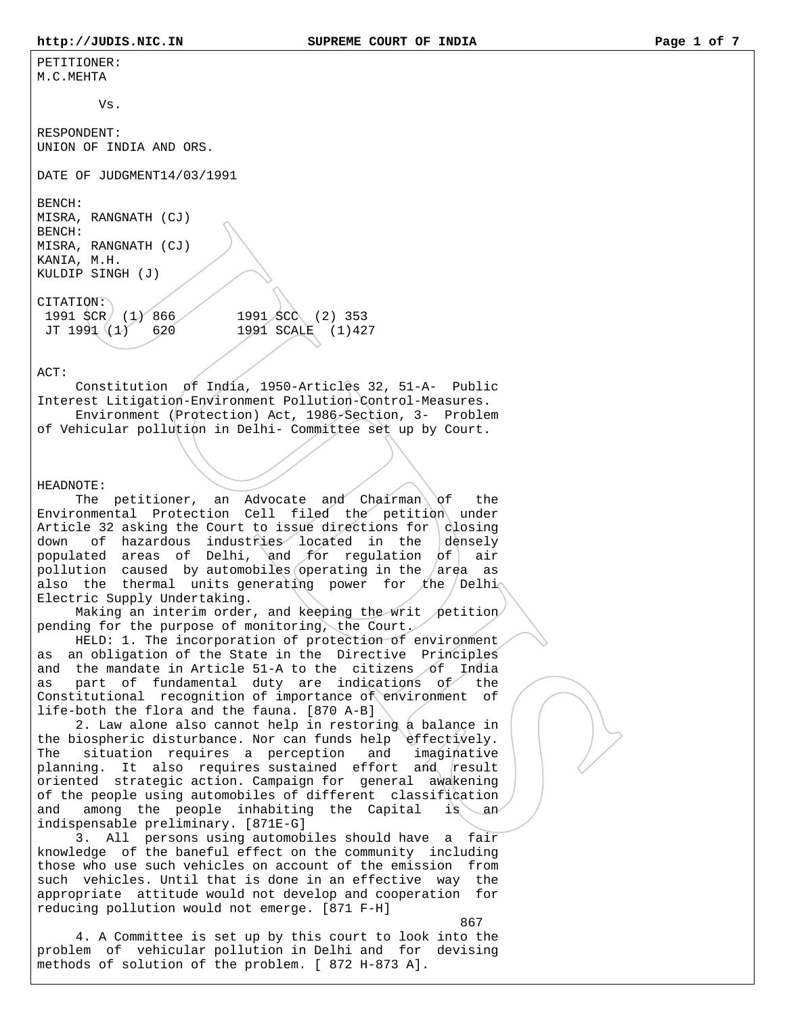PETITIONER: M.C.MEHTA

 $V$ s.

RESPONDENT: UNION OF INDIA AND ORS.

DATE OF JUDGMENT14/03/1991

BENCH: MISRA, RANGNATH (CJ) BENCH: MISRA, RANGNATH (CJ) KANIA, M.H. KULDIP SINGH (J)

CITATION: 1991 SCR (1) 866 1991 SCC (2) 353 JT 1991 (1) 620 1991 SCALE (1)427

ACT:

 Constitution of India, 1950-Articles 32, 51-A- Public Interest Litigation-Environment Pollution-Control-Measures. Environment (Protection) Act, 1986-Section, 3- Problem of Vehicular pollution in Delhi- Committee set up by Court.

HEADNOTE:

The petitioner, an Advocate and Chairman of the Environmental Protection Cell filed the petition under Article 32 asking the Court to issue directions for  $\alpha$  closing down of hazardous industries located in the densely populated areas of Delhi, and for regulation  $of$  air pollution caused by automobiles operating in the  $/\text{area}$  as also the thermal units generating power for the Delhi $\wedge$ Electric Supply Undertaking.

Making an interim order, and keeping the writ petition pending for the purpose of monitoring, the Court.

 HELD: 1. The incorporation of protection of environment as an obligation of the State in the Directive Principles and the mandate in Article 51-A to the citizens of India as part of fundamental duty are indications of the Constitutional recognition of importance of environment of life-both the flora and the fauna. [870 A-B]

 2. Law alone also cannot help in restoring a balance in the biospheric disturbance. Nor can funds help effectively. The situation requires a perception and imaginative planning. It also requires sustained effort and result oriented strategic action. Campaign for general awakening of the people using automobiles of different classification and among the people inhabiting the Capital is an indispensable preliminary. [871E-G]

 3. All persons using automobiles should have a fair knowledge of the baneful effect on the community including those who use such vehicles on account of the emission from such vehicles. Until that is done in an effective way the appropriate attitude would not develop and cooperation for reducing pollution would not emerge. [871 F-H]

 867 4. A Committee is set up by this court to look into the problem of vehicular pollution in Delhi and for devising methods of solution of the problem. [ 872 H-873 A].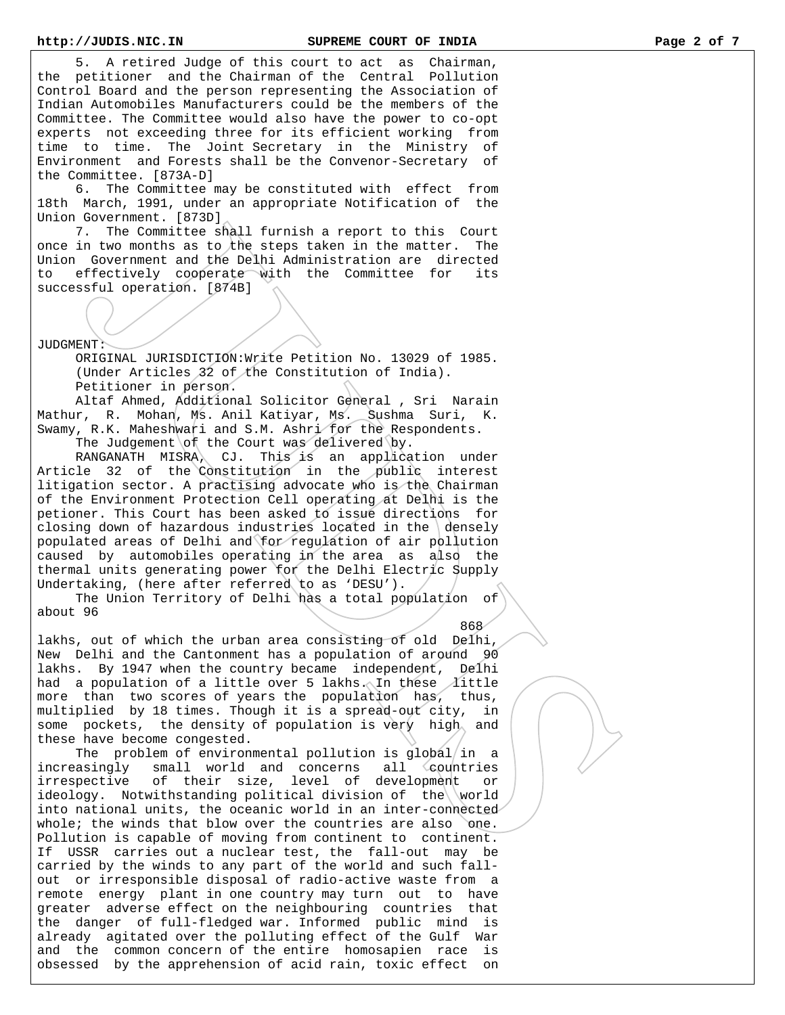5. A retired Judge of this court to act as Chairman, the petitioner and the Chairman of the Central Pollution Control Board and the person representing the Association of Indian Automobiles Manufacturers could be the members of the Committee. The Committee would also have the power to co-opt experts not exceeding three for its efficient working from time to time. The Joint Secretary in the Ministry of Environment and Forests shall be the Convenor-Secretary of the Committee. [873A-D]

 6. The Committee may be constituted with effect from 18th March, 1991, under an appropriate Notification of the Union Government. [873D]

 7. The Committee shall furnish a report to this Court once in two months as to the steps taken in the matter. The Union Government and the Delhi Administration are directed to effectively cooperate with the Committee for its successful operation. [874B]

JUDGMENT:

 ORIGINAL JURISDICTION:Write Petition No. 13029 of 1985. (Under Articles 32 of the Constitution of India). Petitioner in person.

 Altaf Ahmed, Additional Solicitor General , Sri Narain Mathur, R. Mohan, Ms. Anil Katiyar, Ms. Sushma Suri, K. Swamy, R.K. Maheshwari and S.M. Ashri for the Respondents. The Judgement of the Court was delivered by.

 RANGANATH MISRA, CJ. This is an application under Article 32 of the Constitution in the public interest litigation sector. A practising advocate who is the Chairman of the Environment Protection Cell operating at Delhi is the petioner. This Court has been asked to issue directions for closing down of hazardous industries located in the  $\text{density}$ populated areas of Delhi and for regulation of air pollution caused by automobiles operating in the area as also the thermal units generating power for the Delhi Electric Supply Undertaking, (here after referred to as 'DESU').

 The Union Territory of Delhi has a total population of about 96

<u>868</u>

lakhs, out of which the urban area consisting of old Delhi, New Delhi and the Cantonment has a population of around 90 lakhs. By 1947 when the country became independent, Delhi had a population of a little over 5 lakhs. In these  $\Lambda$ ittle more than two scores of years the population has, thus, multiplied by 18 times. Though it is a spread-out city, in some pockets, the density of population is very high and these have become congested.

The problem of environmental pollution is  $global/in$  a increasingly small world and concerns all countries irrespective of their size, level of development or ideology. Notwithstanding political division of the world into national units, the oceanic world in an inter-connected whole; the winds that blow over the countries are also one. Pollution is capable of moving from continent to continent. If USSR carries out a nuclear test, the fall-out may be carried by the winds to any part of the world and such fallout or irresponsible disposal of radio-active waste from a remote energy plant in one country may turn out to have greater adverse effect on the neighbouring countries that the danger of full-fledged war. Informed public mind is already agitated over the polluting effect of the Gulf War and the common concern of the entire homosapien race is obsessed by the apprehension of acid rain, toxic effect on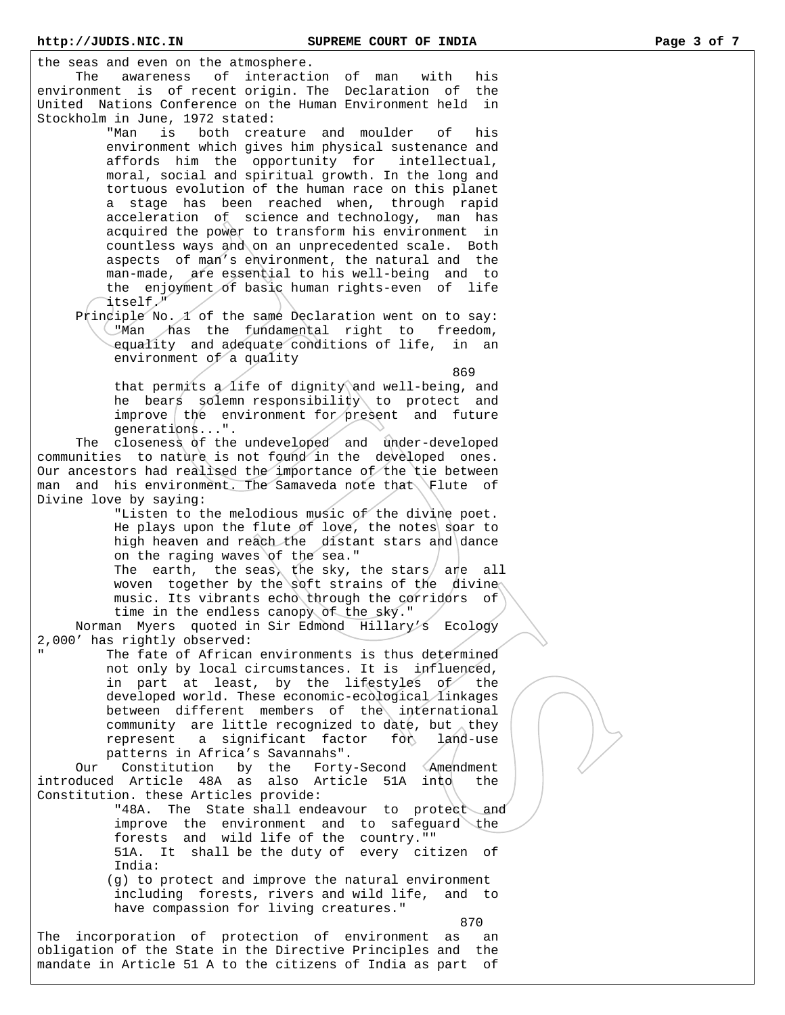**http://JUDIS.NIC.IN SUPREME COURT OF INDIA Page 3 of 7**  the seas and even on the atmosphere. The awareness of interaction of man with his environment is of recent origin. The Declaration of the United Nations Conference on the Human Environment held in Stockholm in June, 1972 stated: "Man is both creature and moulder of his environment which gives him physical sustenance and affords him the opportunity for intellectual, moral, social and spiritual growth. In the long and tortuous evolution of the human race on this planet a stage has been reached when, through rapid acceleration of science and technology, man has acquired the power to transform his environment in countless ways and on an unprecedented scale. Both aspects of man's environment, the natural and the man-made, are essential to his well-being and to the enjoyment of basic human rights-even of life itself." Principle No.  $\Lambda$  of the same Declaration went on to say: "Man has the fundamental right to freedom, equality and adequate conditions of life, in an environment of a quality <u>1986 - Paul Barbara, poeta e a seu a 1999 - Paul Barbara, españolar e a 1999 - Paul Barbara, españolar e a 19</u> that permits a life of dignity and well-being, and he bears solemn responsibility to protect and  $improve$  the environment for present and future generations...". The closeness of the undeveloped and under-developed communities to nature is not found in the developed ones. Our ancestors had realised the importance of the tie between man and his environment. The Samaveda note that Flute of Divine love by saying: "Listen to the melodious music of the divine poet. He plays upon the flute of love, the notes soar to high heaven and reach the distant stars and dance on the raging waves of the sea." The earth, the seas, the sky, the stars are all woven together by the soft strains of the divine music. Its vibrants echo through the corridors of time in the endless canopy of the sky." Norman Myers quoted in Sir Edmond Hillary's Ecology 2,000' has rightly observed: The fate of African environments is thus determined not only by local circumstances. It is influenced, in part at least, by the lifestyles of the developed world. These economic-ecological linkages between different members of the international community are little recognized to date, but they represent a significant factor for land-use patterns in Africa's Savannahs". Our Constitution by the Forty-Second Amendment introduced Article 48A as also Article 51A into the Constitution. these Articles provide: "48A. The State shall endeavour to protect and improve the environment and to safeguard the forests and wild life of the country."" 51A. It shall be the duty of every citizen of India: (g) to protect and improve the natural environment including forests, rivers and wild life, and to have compassion for living creatures." 870 The incorporation of protection of environment as an obligation of the State in the Directive Principles and the

mandate in Article 51 A to the citizens of India as part of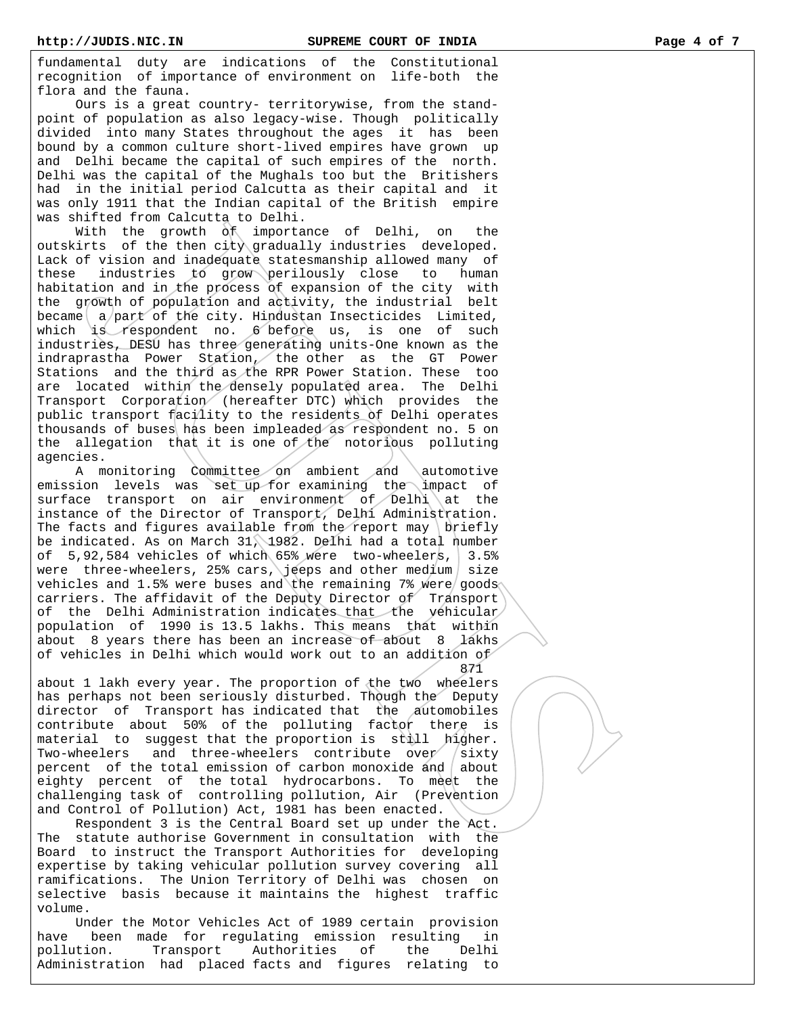fundamental duty are indications of the Constitutional recognition of importance of environment on life-both the flora and the fauna.

 Ours is a great country- territorywise, from the standpoint of population as also legacy-wise. Though politically divided into many States throughout the ages it has been bound by a common culture short-lived empires have grown up and Delhi became the capital of such empires of the north. Delhi was the capital of the Mughals too but the Britishers had in the initial period Calcutta as their capital and it was only 1911 that the Indian capital of the British empire was shifted from Calcutta to Delhi.

 With the growth of importance of Delhi, on the outskirts of the then city gradually industries developed. Lack of vision and inadequate statesmanship allowed many of these industries to grow perilously close to human habitation and in the process of expansion of the city with the growth of population and activity, the industrial belt became  $a/$ part of the city. Hindustan Insecticides Limited, which is respondent no. 6 before us, is one of such industries, DESU has three generating units-One known as the indraprastha Power Station, the other as the GT Power Stations and the third as the RPR Power Station. These too are located within the densely populated area. The Delhi Transport Corporation (hereafter DTC) which provides the public transport facility to the residents of Delhi operates thousands of buses has been impleaded as respondent no. 5 on the allegation that it is one of the notorious polluting agencies.

 A monitoring Committee on ambient and automotive emission levels was set up for examining the impact of surface transport on air environment of Delhi at the instance of the Director of Transport, Delhi Administration. The facts and figures available from the report may  $\frac{1}{1}$  briefly be indicated. As on March 31, 1982. Delhi had a total number of 5,92,584 vehicles of which 65% were two-wheelers, 3.5% were three-wheelers, 25% cars, jeeps and other medium size vehicles and 1.5% were buses and the remaining 7% were goods carriers. The affidavit of the Deputy Director of Transport of the Delhi Administration indicates that the vehicular population of 1990 is 13.5 lakhs. This means that within about 8 years there has been an increase of about 8 lakhs of vehicles in Delhi which would work out to an addition of 871

about 1 lakh every year. The proportion of the two wheelers has perhaps not been seriously disturbed. Though the Deputy director of Transport has indicated that the automobiles contribute about 50% of the polluting factor there is material to suggest that the proportion is still higher. Two-wheelers and three-wheelers contribute over  $\sinh$ percent of the total emission of carbon monoxide and  $\vert$  about eighty percent of the total hydrocarbons. To meet the challenging task of controlling pollution, Air (Prevention and Control of Pollution) Act, 1981 has been enacted.

 Respondent 3 is the Central Board set up under the Act. The statute authorise Government in consultation with the Board to instruct the Transport Authorities for developing expertise by taking vehicular pollution survey covering all ramifications. The Union Territory of Delhi was chosen on selective basis because it maintains the highest traffic volume.

 Under the Motor Vehicles Act of 1989 certain provision have been made for regulating emission resulting in pollution. Transport Authorities of the Delhi Administration had placed facts and figures relating to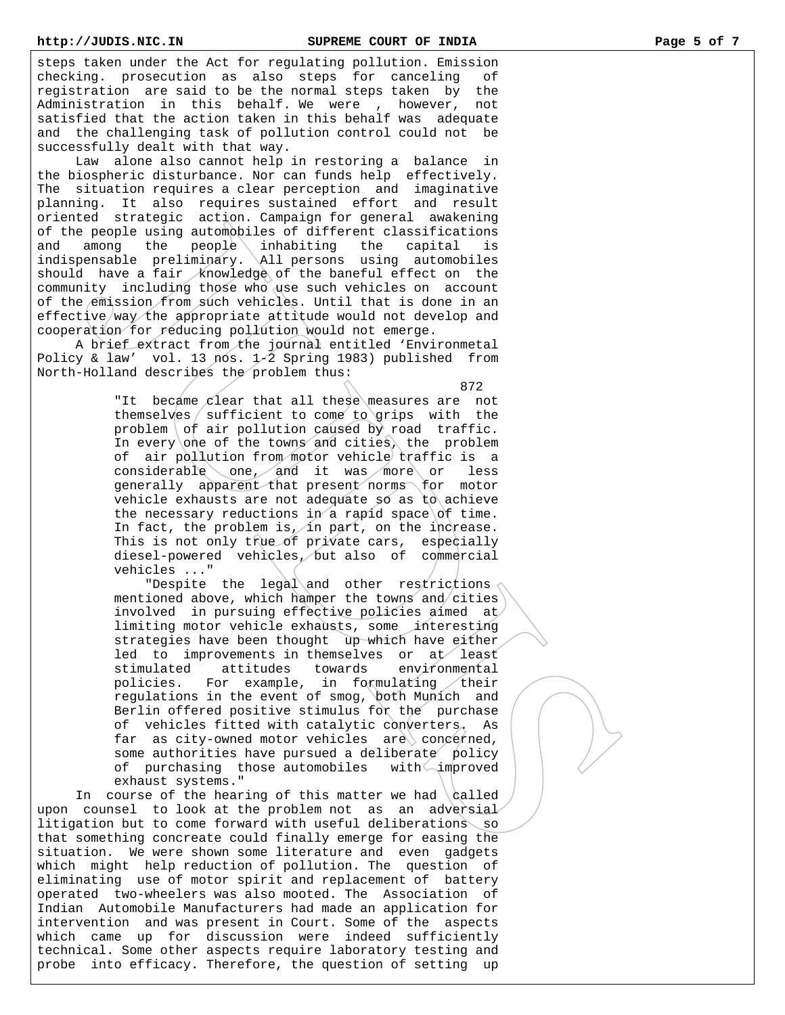steps taken under the Act for regulating pollution. Emission checking. prosecution as also steps for canceling of registration are said to be the normal steps taken by the Administration in this behalf. We were , however, not satisfied that the action taken in this behalf was adequate and the challenging task of pollution control could not be successfully dealt with that way.

 Law alone also cannot help in restoring a balance in the biospheric disturbance. Nor can funds help effectively. The situation requires a clear perception and imaginative planning. It also requires sustained effort and result oriented strategic action. Campaign for general awakening of the people using automobiles of different classifications and among the people inhabiting the capital is indispensable preliminary. All persons using automobiles should have a fair knowledge of the baneful effect on the community including those who use such vehicles on account of the emission from such vehicles. Until that is done in an effective/way the appropriate attitude would not develop and cooperation for reducing pollution would not emerge.

 A brief extract from the journal entitled 'Environmetal Policy & law' vol. 13 nos. 1-2 Spring 1983) published from North-Holland describes the problem thus:

<u>1999 - Andre Stadt Brandbard Brandbard Brandbard Brandbard Brandbard Brandbard Brandbard Brandbard Brandbard B</u> "It became clear that all these measures are not themselves  $\frac{1}{1}$  sufficient to come to grips with the problem  $of$  air pollution caused by road traffic. In every one of the towns and cities, the problem of air pollution from motor vehicle traffic is a considerable one, and it was more or less generally apparent that present norms for motor vehicle exhausts are not adequate so as to achieve the necessary reductions in a rapid space of time. In fact, the problem is, in part, on the increase. This is not only true of private cars, especially diesel-powered vehicles, but also of commercial vehicles ..."

> "Despite the legal and other restrictions mentioned above, which hamper the towns and cities involved in pursuing effective policies aimed at limiting motor vehicle exhausts, some interesting strategies have been thought up which have either led to improvements in themselves or at least stimulated attitudes towards environmental policies. For example, in formulating their regulations in the event of smog, both Munich and Berlin offered positive stimulus for the purchase of vehicles fitted with catalytic converters. As far as city-owned motor vehicles  $are \$  concerned, some authorities have pursued a deliberate policy of purchasing those automobiles with improved exhaust systems."

In course of the hearing of this matter we had  $\delta$ upon counsel to look at the problem not as an adversial litigation but to come forward with useful deliberations so that something concreate could finally emerge for easing the situation. We were shown some literature and even gadgets which might help reduction of pollution. The question of eliminating use of motor spirit and replacement of battery operated two-wheelers was also mooted. The Association of Indian Automobile Manufacturers had made an application for intervention and was present in Court. Some of the aspects which came up for discussion were indeed sufficiently technical. Some other aspects require laboratory testing and probe into efficacy. Therefore, the question of setting up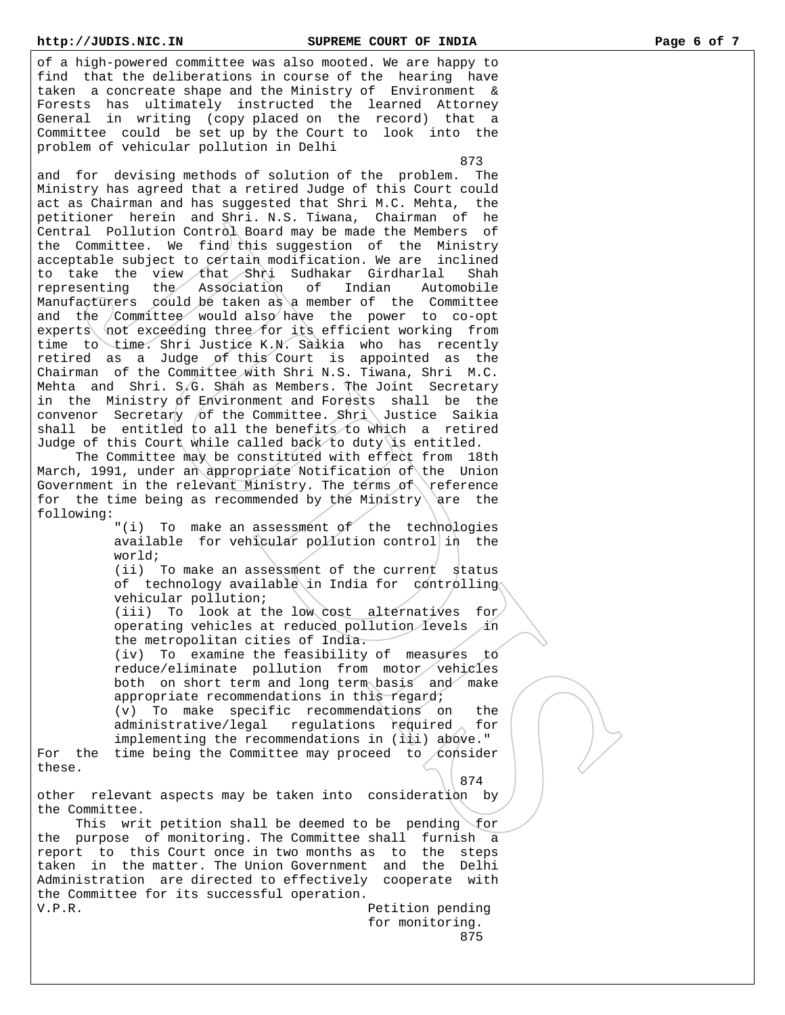## **http://JUDIS.NIC.IN SUPREME COURT OF INDIA Page 6 of 7**

of a high-powered committee was also mooted. We are happy to find that the deliberations in course of the hearing have taken a concreate shape and the Ministry of Environment & Forests has ultimately instructed the learned Attorney General in writing (copy placed on the record) that a Committee could be set up by the Court to look into the problem of vehicular pollution in Delhi

873

and for devising methods of solution of the problem. The Ministry has agreed that a retired Judge of this Court could act as Chairman and has suggested that Shri M.C. Mehta, the petitioner herein and Shri. N.S. Tiwana, Chairman of he Central Pollution Control Board may be made the Members of the Committee. We find this suggestion of the Ministry acceptable subject to certain modification. We are inclined to take the view that Shri Sudhakar Girdharlal Shah<br>representing the Association of Indian Automobile  $representation$  of Indian  $r$ epresenting the Association of Indian Manufacturers could be taken as a member of the Committee and the Committee would also have the power to co-opt experts not exceeding three for its efficient working from time to time. Shri Justice K.N. Saikia who has recently retired as a Judge of this Court is appointed as the Chairman of the Committee with Shri N.S. Tiwana, Shri M.C. Mehta and Shri. S.G. Shah as Members. The Joint Secretary in the Ministry of Environment and Forests shall be the convenor Secretary of the Committee. Shri Justice Saikia shall be entitled to all the benefits to which a retired Judge of this Court while called back to duty is entitled.

 The Committee may be constituted with effect from 18th March, 1991, under an appropriate Notification of the Union Government in the relevant Ministry. The terms of reference for the time being as recommended by the Ministry are the following:

> "(i) To make an assessment of the technologies available for vehicular pollution control in the world;

> (ii) To make an assessment of the current status of technology available in India for controlling vehicular pollution;

> (iii) To look at the low cost alternatives for operating vehicles at reduced pollution levels in the metropolitan cities of India.

> (iv) To examine the feasibility of measures to reduce/eliminate pollution from motor vehicles both on short term and long term basis and make appropriate recommendations in this regard;

 (v) To make specific recommendations on the administrative/legal regulations required for implementing the recommendations in (iii) above." For the time being the Committee may proceed to consider these.

 $\setminus$  874 other relevant aspects may be taken into consideration by the Committee.

This writ petition shall be deemed to be pending for the purpose of monitoring. The Committee shall furnish a report to this Court once in two months as to the steps taken in the matter. The Union Government and the Delhi Administration are directed to effectively cooperate with the Committee for its successful operation. V.P.R. **Petition** pending

 for monitoring. 875